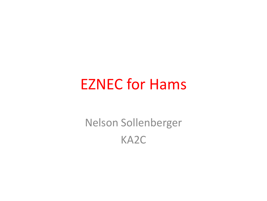### EZNEC for Hams

Nelson Sollenberger KA2C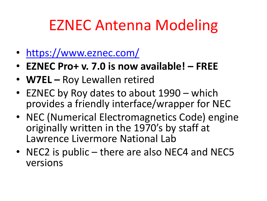# EZNEC Antenna Modeling

- <https://www.eznec.com/>
- **EZNEC Pro+ v. 7.0 is now available! – FREE**
- **W7EL –** Roy Lewallen retired
- EZNEC by Roy dates to about 1990 which provides a friendly interface/wrapper for NEC
- NEC (Numerical Electromagnetics Code) engine originally written in the 1970's by staff at Lawrence Livermore National Lab
- NEC2 is public there are also NEC4 and NEC5 versions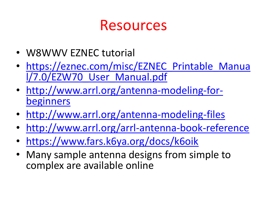#### Resources

- W8WWV EZNEC tutorial
- https://eznec.com/misc/EZNEC Printable Manua [l/7.0/EZW70\\_User\\_Manual.pdf](https://eznec.com/misc/EZNEC_Printable_Manual/7.0/EZW70_User_Manual.pdf)
- [http://www.arrl.org/antenna-modeling-for](http://www.arrl.org/antenna-modeling-for-beginners)[beginners](http://www.arrl.org/antenna-modeling-for-beginners)
- <http://www.arrl.org/antenna-modeling-files>
- <http://www.arrl.org/arrl-antenna-book-reference>
- <https://www.fars.k6ya.org/docs/k6oik>
- Many sample antenna designs from simple to complex are available online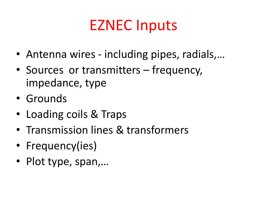## EZNEC Inputs

- Antenna wires including pipes, radials,…
- Sources or transmitters frequency, impedance, type
- Grounds
- Loading coils & Traps
- Transmission lines & transformers
- Frequency(ies)
- Plot type, span,…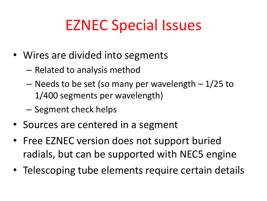# EZNEC Special Issues

- Wires are divided into segments
	- Related to analysis method
	- $-$  Needs to be set (so many per wavelength  $-1/25$  to 1/400 segments per wavelength)
	- Segment check helps
- Sources are centered in a segment
- Free EZNEC version does not support buried radials, but can be supported with NEC5 engine
- Telescoping tube elements require certain details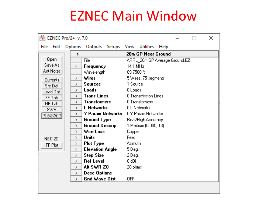#### EZNEC Main Window

| 图 EZNEC Pro/2+ v. 7.0 |  |                         |                        | ×                                  |  |  |  |  |  |  |
|-----------------------|--|-------------------------|------------------------|------------------------------------|--|--|--|--|--|--|
| File Edit             |  | Options                 | Outputs<br>Setups      | View<br><b>Utilities</b><br>Help   |  |  |  |  |  |  |
|                       |  | 20m GP Near Ground<br>> |                        |                                    |  |  |  |  |  |  |
| 0 <sub>pen</sub>      |  |                         | File                   | ARRL_20m GP Average Ground.EZ      |  |  |  |  |  |  |
| Save As               |  | $\geq$                  | Frequency              | 14.1 MHz                           |  |  |  |  |  |  |
| Ant Notes             |  |                         | Wavelength             | 69.7568 ft                         |  |  |  |  |  |  |
| Currents              |  | $\mathcal{P}$           | Wires                  | 5 Wires, 75 segments               |  |  |  |  |  |  |
| Src Dat               |  | $\mathcal{P}$           | <b>Sources</b>         | 1 Source                           |  |  |  |  |  |  |
| Load Dat              |  | $\mathcal{P}$           | <b>Loads</b>           | 0 Loads                            |  |  |  |  |  |  |
| FF Tab                |  | $\mathcal{P}$           | <b>Trans Lines</b>     | 0 Transmission Lines               |  |  |  |  |  |  |
| NF Tab                |  | $\rightarrow$           | <b>Transformers</b>    | 0 Transformers                     |  |  |  |  |  |  |
| <b>SWR</b>            |  | $\rightarrow$           | L Networks             | 0L Networks                        |  |  |  |  |  |  |
| <b>QiewAnd</b>        |  | $\mathcal{P}$           |                        | Y Param Networks 0Y Param Networks |  |  |  |  |  |  |
|                       |  | $\mathcal{P}$           | <b>Ground Type</b>     | Real/High Accuracy                 |  |  |  |  |  |  |
| NEC-2D<br>FF Plot     |  | $\rightarrow$           | <b>Ground Descrip</b>  | 1 Medium (0.005, 13)               |  |  |  |  |  |  |
|                       |  | $\rightarrow$           | Wire Loss              | Copper                             |  |  |  |  |  |  |
|                       |  | $\rightarrow$           | <b>Units</b>           | Feet                               |  |  |  |  |  |  |
|                       |  | $\mathcal{P}$           | <b>Plot Type</b>       | <b>Azimuth</b>                     |  |  |  |  |  |  |
|                       |  | $\mathcal{P}$           | <b>Elevation Angle</b> | 5 Deg.                             |  |  |  |  |  |  |
|                       |  | ⋋                       | <b>Step Size</b>       | 2 Deg.                             |  |  |  |  |  |  |
|                       |  | $\rightarrow$           | <b>Ref Level</b>       | 0 dBi                              |  |  |  |  |  |  |
|                       |  | $\rightarrow$           | Alt SWR ZO             | 20 ohms                            |  |  |  |  |  |  |
|                       |  | $\rightarrow$           | <b>Desc Options</b>    |                                    |  |  |  |  |  |  |
|                       |  | $\geq$                  | <b>Gnd Wave Dist</b>   | <b>OFF</b>                         |  |  |  |  |  |  |
|                       |  |                         |                        |                                    |  |  |  |  |  |  |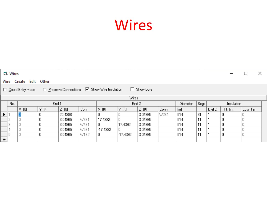## Wires

|        | <b>Cj.</b> Wires<br>$\mathcal{L}_{\mathcal{A}}$                                 |                  |       |         |      |               |          |         |          |                   | ×          |        |              |          |  |
|--------|---------------------------------------------------------------------------------|------------------|-------|---------|------|---------------|----------|---------|----------|-------------------|------------|--------|--------------|----------|--|
|        | Wire Create Edit Other                                                          |                  |       |         |      |               |          |         |          |                   |            |        |              |          |  |
|        | □ Coord Entry Mode □ Preserve Connections □ Show Wire Insulation<br>□ Show Loss |                  |       |         |      |               |          |         |          |                   |            |        |              |          |  |
|        | Wires                                                                           |                  |       |         |      |               |          |         |          |                   |            |        |              |          |  |
|        | No.                                                                             | End <sub>1</sub> |       |         |      | End 2         |          |         | Diameter | Segs              | Insulation |        |              |          |  |
|        |                                                                                 | $\times$ (ft)    | Y(ft) | Z(f)    | Conn | $\times$ (ft) | Y(f)     | Z(f)    | Conn     | [ <sub>in</sub> ] |            | Diel C | $Thk$ $(in)$ | Loss Tan |  |
| ▶      |                                                                                 |                  | 0     | 20.4388 |      | 0.            | 0        | 3.04865 | W2E1     | #14               | 31         |        | 0            | 0        |  |
|        | о                                                                               | 0                | 0     | 3.04865 | W3E1 | 17.4392       | 0        | 3.04865 |          | #14               | 11         |        | 0            | 0        |  |
|        | 3                                                                               |                  | 0     | 3.04865 | W4E1 | 0.            | 17.4392  | 3.04865 |          | #14               | 11         |        | 0            | 0        |  |
|        | 4                                                                               | Ω                | 0     | 3.04865 | W5E1 | $-17.4392$    | 0        | 3.04865 |          | #14               | 11         |        | 0            | 0        |  |
|        | 5                                                                               |                  | 0     | 3.04865 | W1E2 | 0             | -17.4392 | 3.04865 |          | #14               | 11         |        | 0            | $\theta$ |  |
| $\ast$ |                                                                                 |                  |       |         |      |               |          |         |          |                   |            |        |              |          |  |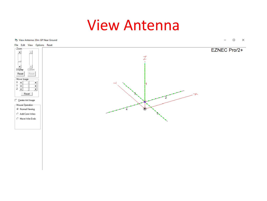#### View Antenna

#### CL View Antenna: 20m GP Near Ground

 $\Box$  $\equiv$  $\mathsf{X}$ 

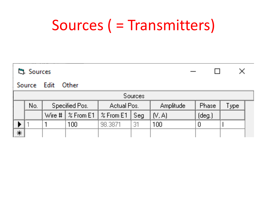# Sources ( = Transmitters)

|                | <b>门</b> , Sources |                   |                |                                                                      |     |           |           |                |  |  |  |
|----------------|--------------------|-------------------|----------------|----------------------------------------------------------------------|-----|-----------|-----------|----------------|--|--|--|
|                |                    | Source Edit Other |                |                                                                      |     |           |           |                |  |  |  |
| <b>Sources</b> |                    |                   |                |                                                                      |     |           |           |                |  |  |  |
|                | No.                |                   | Specified Pos. | Actual Pos.                                                          |     | Amplitude | Phase     | ${\sf Type}^+$ |  |  |  |
|                |                    |                   |                |                                                                      |     |           |           |                |  |  |  |
|                |                    |                   |                | Wire # $\frac{1}{2}$ From E1 $\frac{1}{2}$ From E1 $\frac{1}{2}$ Seg |     | (V, A)    | $(\deg.)$ |                |  |  |  |
|                |                    |                   | 100            | 98,3871                                                              | -31 | 100       |           |                |  |  |  |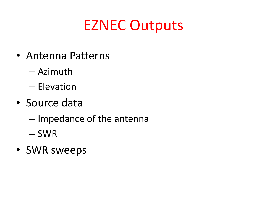## EZNEC Outputs

- Antenna Patterns
	- Azimuth
	- Elevation
- Source data
	- Impedance of the antenna
	- SWR
- SWR sweeps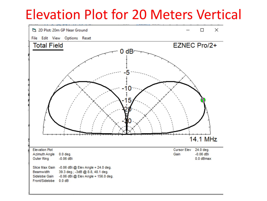#### Elevation Plot for 20 Meters Vertical

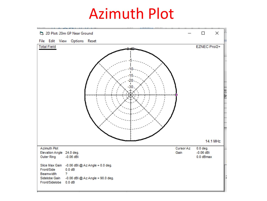#### Azimuth Plot

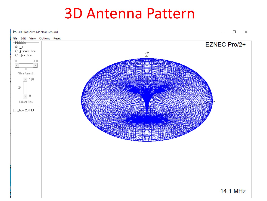#### 3D Antenna Pattern

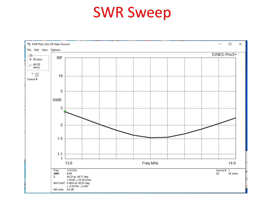#### SWR Sweep

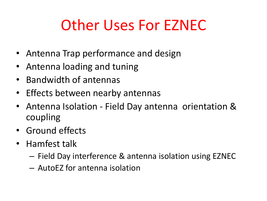# Other Uses For EZNEC

- Antenna Trap performance and design
- Antenna loading and tuning
- Bandwidth of antennas
- Effects between nearby antennas
- Antenna Isolation Field Day antenna orientation & coupling
- Ground effects
- Hamfest talk
	- Field Day interference & antenna isolation using EZNEC
	- AutoEZ for antenna isolation